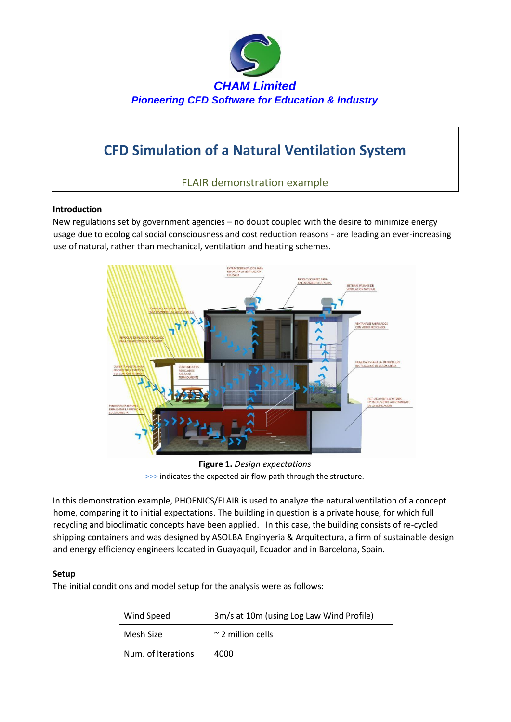

# **CFD Simulation of a Natural Ventilation System**

FLAIR demonstration example

## **Introduction**

New regulations set by government agencies – no doubt coupled with the desire to minimize energy usage due to ecological social consciousness and cost reduction reasons - are leading an ever-increasing use of natural, rather than mechanical, ventilation and heating schemes.



**Figure 1.** *Design expectations*  >>> indicates the expected air flow path through the structure.

In this demonstration example, PHOENICS/FLAIR is used to analyze the natural ventilation of a concept home, comparing it to initial expectations. The building in question is a private house, for which full recycling and bioclimatic concepts have been applied. In this case, the building consists of re-cycled shipping containers and was designed by ASOLBA Enginyeria & Arquitectura, a firm of sustainable design and energy efficiency engineers located in Guayaquil, Ecuador and in Barcelona, Spain.

## **Setup**

The initial conditions and model setup for the analysis were as follows:

| Wind Speed         | 3m/s at 10m (using Log Law Wind Profile) |
|--------------------|------------------------------------------|
| Mesh Size          | $\sim$ 2 million cells                   |
| Num. of Iterations | 4000                                     |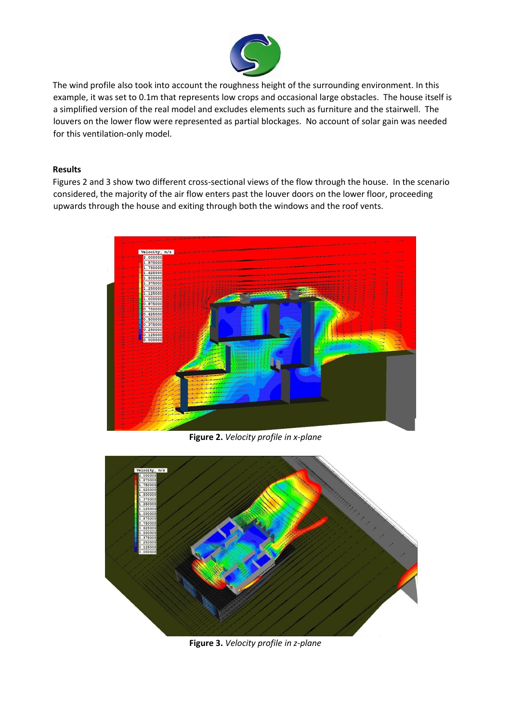

The wind profile also took into account the roughness height of the surrounding environment. In this example, it was set to 0.1m that represents low crops and occasional large obstacles. The house itself is a simplified version of the real model and excludes elements such as furniture and the stairwell. The louvers on the lower flow were represented as partial blockages. No account of solar gain was needed for this ventilation-only model.

### **Results**

Figures 2 and 3 show two different cross-sectional views of the flow through the house. In the scenario considered, the majority of the air flow enters past the louver doors on the lower floor, proceeding upwards through the house and exiting through both the windows and the roof vents.



**Figure 2.** *Velocity profile in x-plane*



**Figure 3.** *Velocity profile in z-plane*